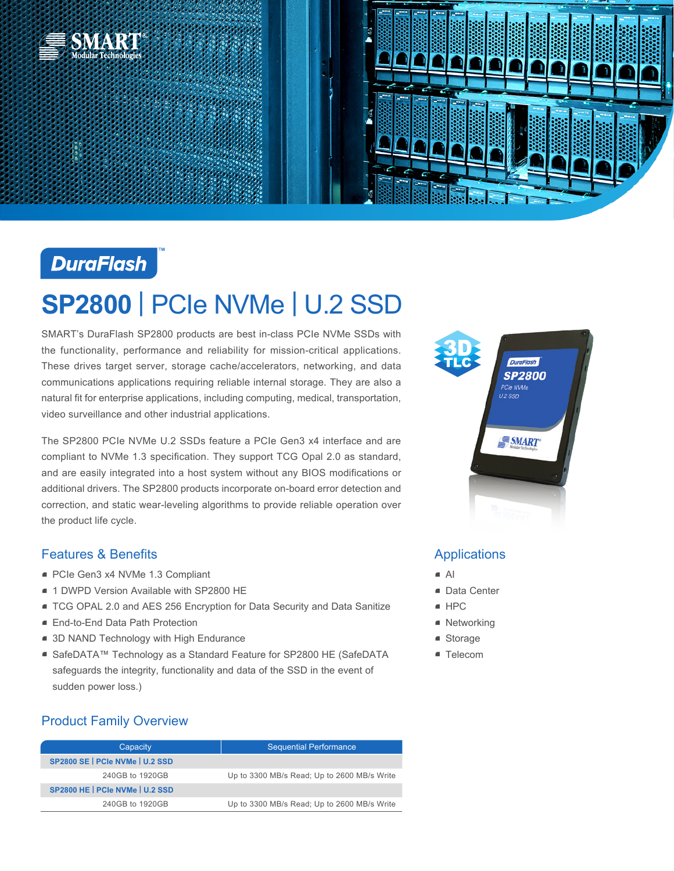



## **DuraFlash**

# **SP2800** | PCIe NVMe | U.2 SSD

SMART's DuraFlash SP2800 products are best in-class PCIe NVMe SSDs with the functionality, performance and reliability for mission-critical applications. These drives target server, storage cache/accelerators, networking, and data communications applications requiring reliable internal storage. They are also a natural fit for enterprise applications, including computing, medical, transportation, video surveillance and other industrial applications.

The SP2800 PCIe NVMe U.2 SSDs feature a PCIe Gen3 x4 interface and are compliant to NVMe 1.3 specification. They support TCG Opal 2.0 as standard, and are easily integrated into a host system without any BIOS modifications or additional drivers. The SP2800 products incorporate on-board error detection and correction, and static wear-leveling algorithms to provide reliable operation over the product life cycle.

#### Features & Benefits

- PCIe Gen3 x4 NVMe 1.3 Compliant
- 1 DWPD Version Available with SP2800 HE
- **TCG OPAL 2.0 and AES 256 Encryption for Data Security and Data Sanitize**
- End-to-End Data Path Protection
- 3D NAND Technology with High Endurance
- SafeDATA™ Technology as a Standard Feature for SP2800 HE (SafeDATA safeguards the integrity, functionality and data of the SSD in the event of sudden power loss.)

## Product Family Overview

| Capacity                        | <b>Sequential Performance</b>               |
|---------------------------------|---------------------------------------------|
| SP2800 SE   PCIe NVMe   U.2 SSD |                                             |
| 240GB to 1920GB                 | Up to 3300 MB/s Read; Up to 2600 MB/s Write |
| SP2800 HE   PCIe NVMe   U.2 SSD |                                             |
| 240GB to 1920GB                 | Up to 3300 MB/s Read; Up to 2600 MB/s Write |



### Applications

- $\blacksquare$  Al
- Data Center
- HPC
- Networking
- Storage
- Telecom